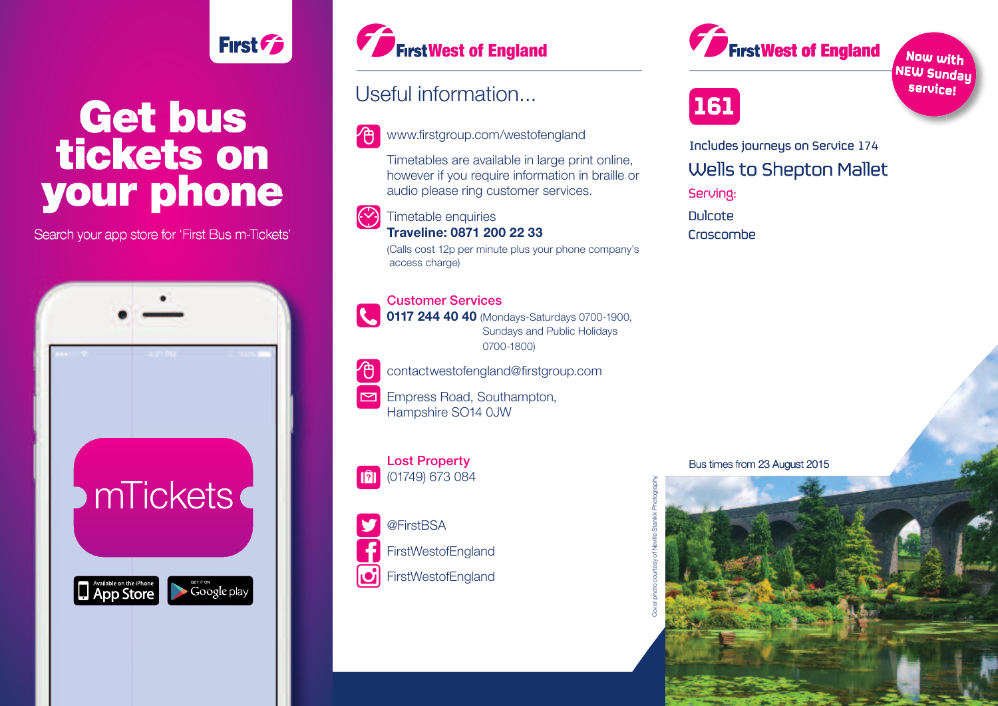# **Get bus tickets on your phone**

**First Fig.** 

Search your app store for 'First Bus m-Tickets'





### Useful information...

www.firstgroup.com/westofengland

Timetables are available in large print online, however if you require information in braille or audio please ring customer services.

#### (V) Timetable enquiries **Traveline: 0871 200 22 33**

(Calls cost 12p per minute plus your phone company's access charge)

## Customer Services

0117 244 40 40 (Mondays-Saturdays 0700-1900, Sundays and Public Holidays 0700-1800)



contactwestofengland@firstgroup.com

 $\triangleright$ Empress Road, Southampton, Hampshire SO14 0JW



## (01749) 673 084



**161**

Wells to Shepton Mallet Serving: Dulcote Dulcote Includes journeys on Service 174 **West of England**<br> **Inchromation...**<br> **Stropp.com/westofengland**<br> **Includes journeys on Service 1**<br>
Idea are available in large print online,<br>
Includes journeys on Service 1<br>
Idea are available in large print online,<br> **Wel** 

Croscombe

### Bus times from 23 August 2015





**Now with**

<sup>NEW Sunday<br>、<sup>Servi</sup>ce!</sup> **service! service i**